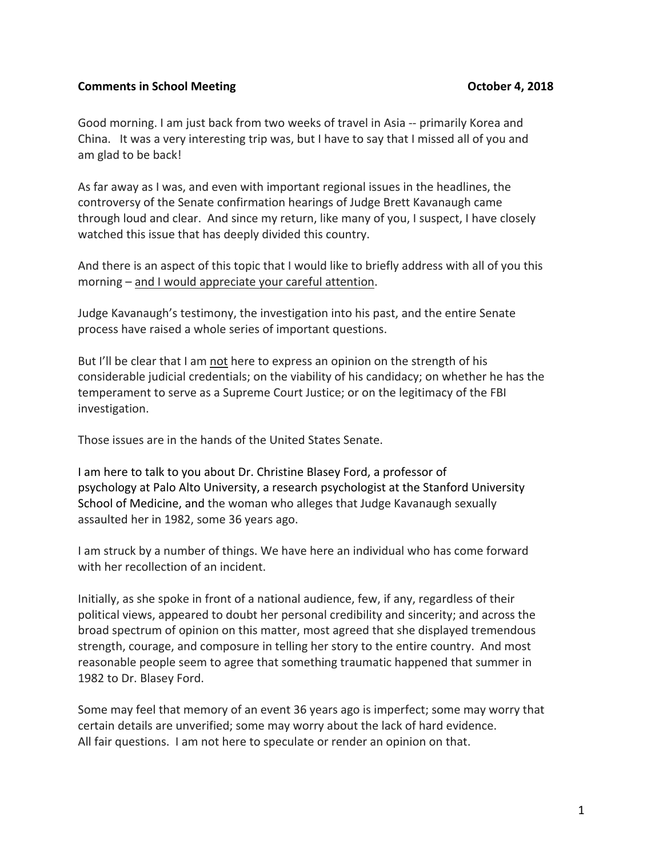## **Comments in School Meeting <b>Comments** in School Meeting

Good morning. I am just back from two weeks of travel in Asia -- primarily Korea and China. It was a very interesting trip was, but I have to say that I missed all of you and am glad to be back!

As far away as I was, and even with important regional issues in the headlines, the controversy of the Senate confirmation hearings of Judge Brett Kavanaugh came through loud and clear. And since my return, like many of you, I suspect, I have closely watched this issue that has deeply divided this country.

And there is an aspect of this topic that I would like to briefly address with all of you this morning – and I would appreciate your careful attention.

Judge Kavanaugh's testimony, the investigation into his past, and the entire Senate process have raised a whole series of important questions.

But I'll be clear that I am not here to express an opinion on the strength of his considerable judicial credentials; on the viability of his candidacy; on whether he has the temperament to serve as a Supreme Court Justice; or on the legitimacy of the FBI investigation. 

Those issues are in the hands of the United States Senate.

I am here to talk to you about Dr. Christine Blasey Ford, a professor of psychology at Palo Alto University, a research psychologist at the Stanford University School of Medicine, and the woman who alleges that Judge Kavanaugh sexually assaulted her in 1982, some 36 years ago.

I am struck by a number of things. We have here an individual who has come forward with her recollection of an incident.

Initially, as she spoke in front of a national audience, few, if any, regardless of their political views, appeared to doubt her personal credibility and sincerity; and across the broad spectrum of opinion on this matter, most agreed that she displayed tremendous strength, courage, and composure in telling her story to the entire country. And most reasonable people seem to agree that something traumatic happened that summer in 1982 to Dr. Blasey Ford.

Some may feel that memory of an event 36 years ago is imperfect; some may worry that certain details are unverified; some may worry about the lack of hard evidence. All fair questions. I am not here to speculate or render an opinion on that.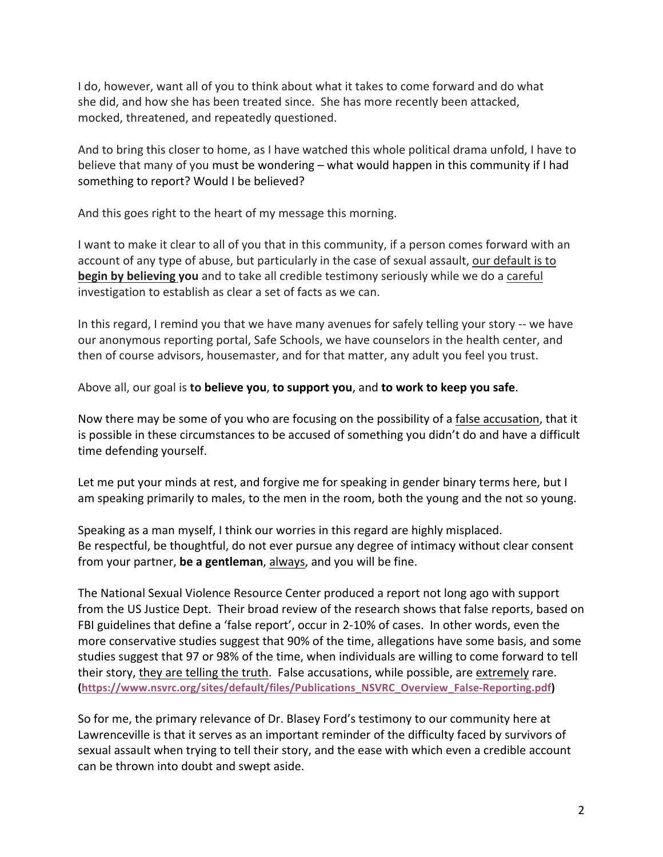I do, however, want all of you to think about what it takes to come forward and do what she did, and how she has been treated since. She has more recently been attacked. mocked, threatened, and repeatedly questioned.

And to bring this closer to home, as I have watched this whole political drama unfold, I have to believe that many of you must be wondering – what would happen in this community if I had something to report? Would I be believed?

And this goes right to the heart of my message this morning.

I want to make it clear to all of you that in this community, if a person comes forward with an account of any type of abuse, but particularly in the case of sexual assault, our default is to **begin by believing you** and to take all credible testimony seriously while we do a careful investigation to establish as clear a set of facts as we can.

In this regard, I remind you that we have many avenues for safely telling your story -- we have our anonymous reporting portal, Safe Schools, we have counselors in the health center, and then of course advisors, housemaster, and for that matter, any adult you feel you trust.

Above all, our goal is **to believe you, to support you**, and **to work to keep you safe**.

Now there may be some of you who are focusing on the possibility of a false accusation, that it is possible in these circumstances to be accused of something you didn't do and have a difficult time defending yourself.

Let me put your minds at rest, and forgive me for speaking in gender binary terms here, but I am speaking primarily to males, to the men in the room, both the young and the not so young.

Speaking as a man myself, I think our worries in this regard are highly misplaced. Be respectful, be thoughtful, do not ever pursue any degree of intimacy without clear consent from your partner, **be a gentleman**, always, and you will be fine.

The National Sexual Violence Resource Center produced a report not long ago with support from the US Justice Dept. Their broad review of the research shows that false reports, based on FBI guidelines that define a 'false report', occur in 2-10% of cases. In other words, even the more conservative studies suggest that 90% of the time, allegations have some basis, and some studies suggest that 97 or 98% of the time, when individuals are willing to come forward to tell their story, they are telling the truth. False accusations, while possible, are extremely rare. **(https://www.nsvrc.org/sites/default/files/Publications\_NSVRC\_Overview\_False-Reporting.pdf)**

So for me, the primary relevance of Dr. Blasey Ford's testimony to our community here at Lawrenceville is that it serves as an important reminder of the difficulty faced by survivors of sexual assault when trying to tell their story, and the ease with which even a credible account can be thrown into doubt and swept aside.